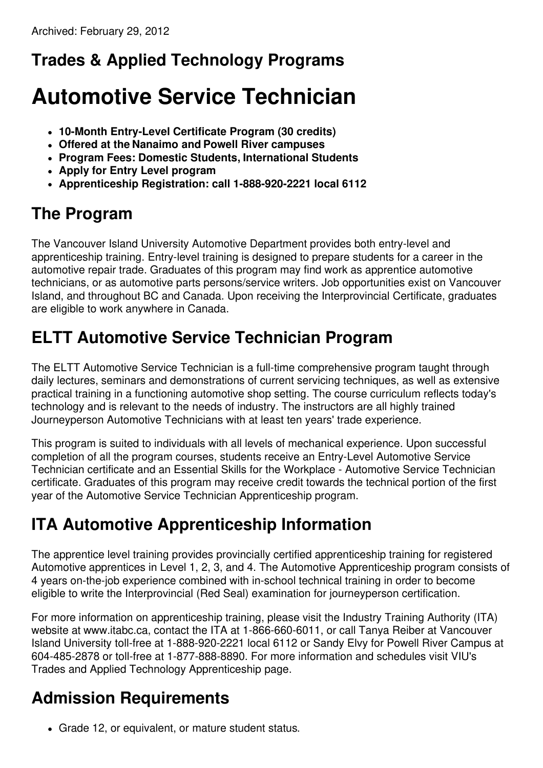## **Trades & Applied Technology Programs**

# **Automotive Service Technician**

- **10-Month Entry-Level Certificate Program (30 credits)**
- **Offered at the Nanaimo and Powell River campuses**
- **Program Fees: Domestic Students, International Students**
- **Apply for Entry Level program**
- **Apprenticeship Registration: call 1-888-920-2221 local 6112**

## **The Program**

The Vancouver Island University Automotive Department provides both entry-level and apprenticeship training. Entry-level training is designed to prepare students for a career in the automotive repair trade. Graduates of this program may find work as apprentice automotive technicians, or as automotive parts persons/service writers. Job opportunities exist on Vancouver Island, and throughout BC and Canada. Upon receiving the Interprovincial Certificate, graduates are eligible to work anywhere in Canada.

## **ELTT Automotive Service Technician Program**

The ELTT Automotive Service Technician is a full-time comprehensive program taught through daily lectures, seminars and demonstrations of current servicing techniques, as well as extensive practical training in a functioning automotive shop setting. The course curriculum reflects today's technology and is relevant to the needs of industry. The instructors are all highly trained Journeyperson Automotive Technicians with at least ten years' trade experience.

This program is suited to individuals with all levels of mechanical experience. Upon successful completion of all the program courses, students receive an Entry-Level Automotive Service Technician certificate and an Essential Skills for the Workplace - Automotive Service Technician certificate. Graduates of this program may receive credit towards the technical portion of the first year of the Automotive Service Technician Apprenticeship program.

## **ITA Automotive Apprenticeship Information**

The apprentice level training provides provincially certified apprenticeship training for registered Automotive apprentices in Level 1, 2, 3, and 4. The Automotive Apprenticeship program consists of 4 years on-the-job experience combined with in-school technical training in order to become eligible to write the Interprovincial (Red Seal) examination for journeyperson certification.

For more information on apprenticeship training, please visit the Industry Training Authority (ITA) website at www.itabc.ca, contact the ITA at 1-866-660-6011, or call Tanya Reiber at Vancouver Island University toll-free at 1-888-920-2221 local 6112 or Sandy Elvy for Powell River Campus at 604-485-2878 or toll-free at 1-877-888-8890. For more information and schedules visit VIU's Trades and Applied Technology Apprenticeship page.

## **Admission Requirements**

Grade 12, or equivalent, or mature student status.